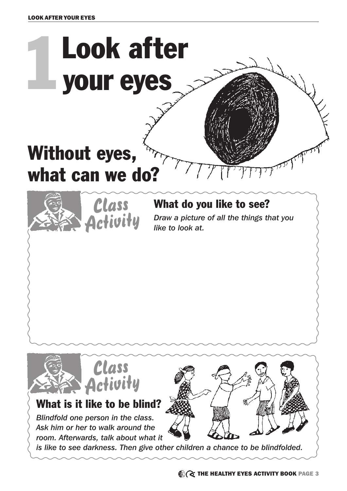

*is like to see darkness. Then give other children a chance to be blindfolded.*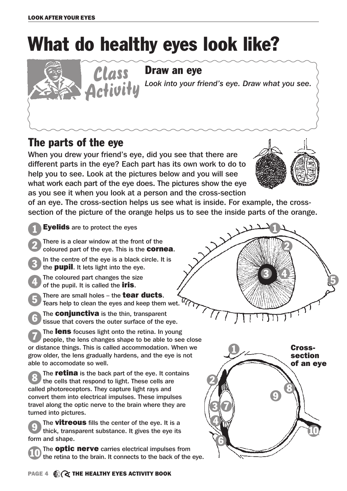## What do healthy eyes look like?

## Draw an eye

Activity Look into your friend's eye. Draw what you see.

## The parts of the eye

When you drew your friend's eye, did you see that there are different parts in the eye? Each part has its own work to do to help you to see. Look at the pictures below and you will see what work each part of the eye does. The pictures show the eye as you see it when you look at a person and the cross-section



of an eye. The cross-section helps us see what is inside. For example, the crosssection of the picture of the orange helps us to see the inside parts of the orange.

- **Eyelids** are to protect the eyes 1
- There is a clear window at the front of the coloured part of the eye. This is the **cornea**. 2

Class

- In the centre of the eye is a black circle. It is the **pupil**. It lets light into the eye. 3
- The coloured part changes the size of the pupil. It is called the **iris**. 4
- There are small holes  $-$  the **tear ducts**. Tears help to clean the eyes and keep them wet. 5
- The **conjunctiva** is the thin, transparent tissue that covers the outer surface of the eye. 6

The lens focuses light onto the retina. In young people, the lens changes shape to be able to see close or distance things. This is called accommodation. When we grow older, the lens gradually hardens, and the eye is not able to accomodate so well. 7

The **retina** is the back part of the eye. It contains the cells that respond to light. These cells are called photoreceptors. They capture light rays and convert them into electrical impulses. These impulses travel along the optic nerve to the brain where they are turned into pictures. 8

The **vitreous** fills the center of the eye. It is a thick, transparent substance. It gives the eye its form and shape. 9

The **optic nerve** carries electrical impulses from the retina to the brain. It connects to the back of the eye. 10

1 2  $3 \frac{4}{5}$  5

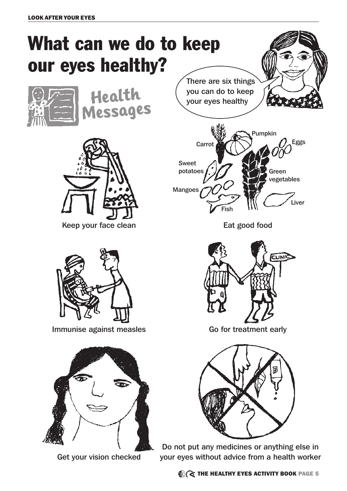## What can we do to keep our eyes healthy?



**Health Messages**



Keep your face clean Eat good food



Immunise against measles Go for treatment early



Get your vision checked

There are six things you can do to keep your eyes healthy







Do not put any medicines or anything else in your eyes without advice from a health worker